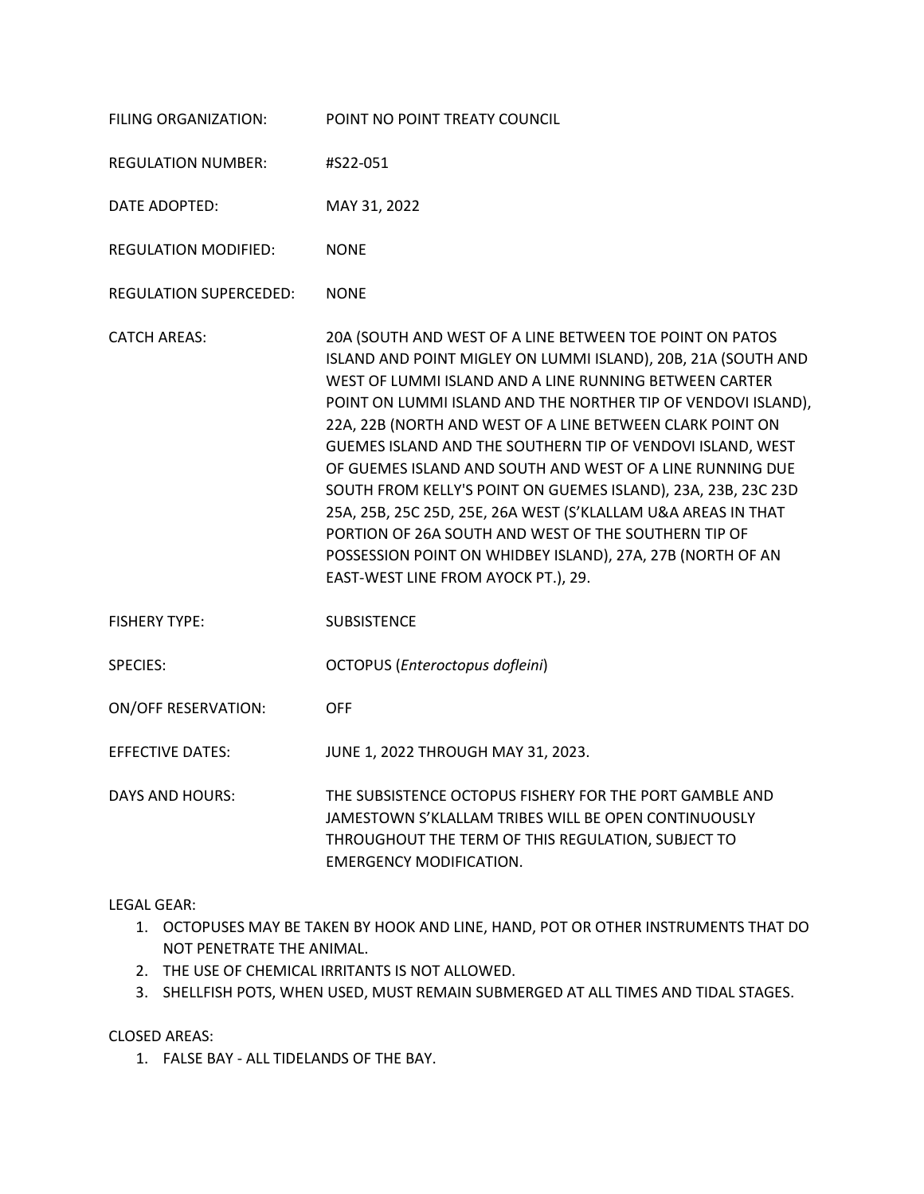| FILING ORGANIZATION:          | POINT NO POINT TREATY COUNCIL                                                                                                                                                                                                                                                                                                                                                                                                                                                                                                                                                                                                                                                                                                               |
|-------------------------------|---------------------------------------------------------------------------------------------------------------------------------------------------------------------------------------------------------------------------------------------------------------------------------------------------------------------------------------------------------------------------------------------------------------------------------------------------------------------------------------------------------------------------------------------------------------------------------------------------------------------------------------------------------------------------------------------------------------------------------------------|
| <b>REGULATION NUMBER:</b>     | #S22-051                                                                                                                                                                                                                                                                                                                                                                                                                                                                                                                                                                                                                                                                                                                                    |
| DATE ADOPTED:                 | MAY 31, 2022                                                                                                                                                                                                                                                                                                                                                                                                                                                                                                                                                                                                                                                                                                                                |
| <b>REGULATION MODIFIED:</b>   | <b>NONE</b>                                                                                                                                                                                                                                                                                                                                                                                                                                                                                                                                                                                                                                                                                                                                 |
| <b>REGULATION SUPERCEDED:</b> | <b>NONE</b>                                                                                                                                                                                                                                                                                                                                                                                                                                                                                                                                                                                                                                                                                                                                 |
| <b>CATCH AREAS:</b>           | 20A (SOUTH AND WEST OF A LINE BETWEEN TOE POINT ON PATOS<br>ISLAND AND POINT MIGLEY ON LUMMI ISLAND), 20B, 21A (SOUTH AND<br>WEST OF LUMMI ISLAND AND A LINE RUNNING BETWEEN CARTER<br>POINT ON LUMMI ISLAND AND THE NORTHER TIP OF VENDOVI ISLAND),<br>22A, 22B (NORTH AND WEST OF A LINE BETWEEN CLARK POINT ON<br>GUEMES ISLAND AND THE SOUTHERN TIP OF VENDOVI ISLAND, WEST<br>OF GUEMES ISLAND AND SOUTH AND WEST OF A LINE RUNNING DUE<br>SOUTH FROM KELLY'S POINT ON GUEMES ISLAND), 23A, 23B, 23C 23D<br>25A, 25B, 25C 25D, 25E, 26A WEST (S'KLALLAM U&A AREAS IN THAT<br>PORTION OF 26A SOUTH AND WEST OF THE SOUTHERN TIP OF<br>POSSESSION POINT ON WHIDBEY ISLAND), 27A, 27B (NORTH OF AN<br>EAST-WEST LINE FROM AYOCK PT.), 29. |
| <b>FISHERY TYPE:</b>          | <b>SUBSISTENCE</b>                                                                                                                                                                                                                                                                                                                                                                                                                                                                                                                                                                                                                                                                                                                          |
| <b>SPECIES:</b>               | OCTOPUS (Enteroctopus dofleini)                                                                                                                                                                                                                                                                                                                                                                                                                                                                                                                                                                                                                                                                                                             |
| <b>ON/OFF RESERVATION:</b>    | <b>OFF</b>                                                                                                                                                                                                                                                                                                                                                                                                                                                                                                                                                                                                                                                                                                                                  |
| <b>EFFECTIVE DATES:</b>       | JUNE 1, 2022 THROUGH MAY 31, 2023.                                                                                                                                                                                                                                                                                                                                                                                                                                                                                                                                                                                                                                                                                                          |
| <b>DAYS AND HOURS:</b>        | THE SUBSISTENCE OCTOPUS FISHERY FOR THE PORT GAMBLE AND<br>JAMESTOWN S'KLALLAM TRIBES WILL BE OPEN CONTINUOUSLY<br>THROUGHOUT THE TERM OF THIS REGULATION, SUBJECT TO<br><b>EMERGENCY MODIFICATION.</b>                                                                                                                                                                                                                                                                                                                                                                                                                                                                                                                                     |

LEGAL GEAR:

- 1. OCTOPUSES MAY BE TAKEN BY HOOK AND LINE, HAND, POT OR OTHER INSTRUMENTS THAT DO NOT PENETRATE THE ANIMAL.
- 2. THE USE OF CHEMICAL IRRITANTS IS NOT ALLOWED.
- 3. SHELLFISH POTS, WHEN USED, MUST REMAIN SUBMERGED AT ALL TIMES AND TIDAL STAGES.

CLOSED AREAS:

1. FALSE BAY - ALL TIDELANDS OF THE BAY.